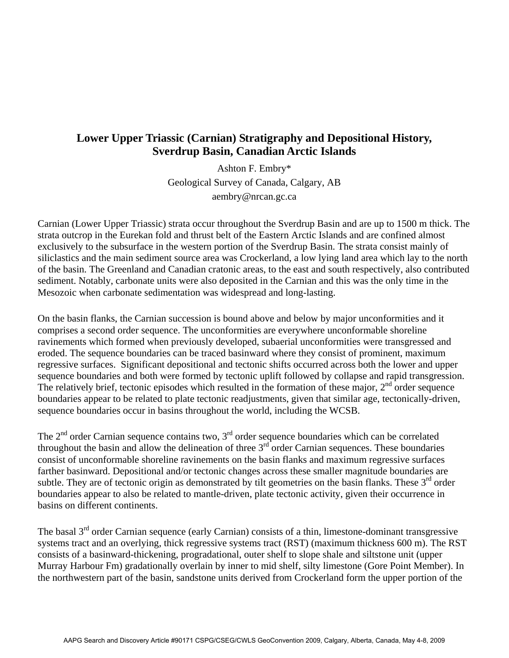## **Lower Upper Triassic (Carnian) Stratigraphy and Depositional History, Sverdrup Basin, Canadian Arctic Islands**

Ashton F. Embry\* Geological Survey of Canada, Calgary, AB aembry@nrcan.gc.ca

Carnian (Lower Upper Triassic) strata occur throughout the Sverdrup Basin and are up to 1500 m thick. The strata outcrop in the Eurekan fold and thrust belt of the Eastern Arctic Islands and are confined almost exclusively to the subsurface in the western portion of the Sverdrup Basin. The strata consist mainly of siliclastics and the main sediment source area was Crockerland, a low lying land area which lay to the north of the basin. The Greenland and Canadian cratonic areas, to the east and south respectively, also contributed sediment. Notably, carbonate units were also deposited in the Carnian and this was the only time in the Mesozoic when carbonate sedimentation was widespread and long-lasting.

On the basin flanks, the Carnian succession is bound above and below by major unconformities and it comprises a second order sequence. The unconformities are everywhere unconformable shoreline ravinements which formed when previously developed, subaerial unconformities were transgressed and eroded. The sequence boundaries can be traced basinward where they consist of prominent, maximum regressive surfaces. Significant depositional and tectonic shifts occurred across both the lower and upper sequence boundaries and both were formed by tectonic uplift followed by collapse and rapid transgression. The relatively brief, tectonic episodes which resulted in the formation of these major,  $2<sup>nd</sup>$  order sequence boundaries appear to be related to plate tectonic readjustments, given that similar age, tectonically-driven, sequence boundaries occur in basins throughout the world, including the WCSB.

The  $2<sup>nd</sup>$  order Carnian sequence contains two,  $3<sup>rd</sup>$  order sequence boundaries which can be correlated throughout the basin and allow the delineation of three  $3<sup>rd</sup>$  order Carnian sequences. These boundaries consist of unconformable shoreline ravinements on the basin flanks and maximum regressive surfaces farther basinward. Depositional and/or tectonic changes across these smaller magnitude boundaries are subtle. They are of tectonic origin as demonstrated by tilt geometries on the basin flanks. These  $3<sup>rd</sup>$  order boundaries appear to also be related to mantle-driven, plate tectonic activity, given their occurrence in basins on different continents.

The basal  $3<sup>rd</sup>$  order Carnian sequence (early Carnian) consists of a thin, limestone-dominant transgressive systems tract and an overlying, thick regressive systems tract (RST) (maximum thickness 600 m). The RST consists of a basinward-thickening, progradational, outer shelf to slope shale and siltstone unit (upper Murray Harbour Fm) gradationally overlain by inner to mid shelf, silty limestone (Gore Point Member). In the northwestern part of the basin, sandstone units derived from Crockerland form the upper portion of the